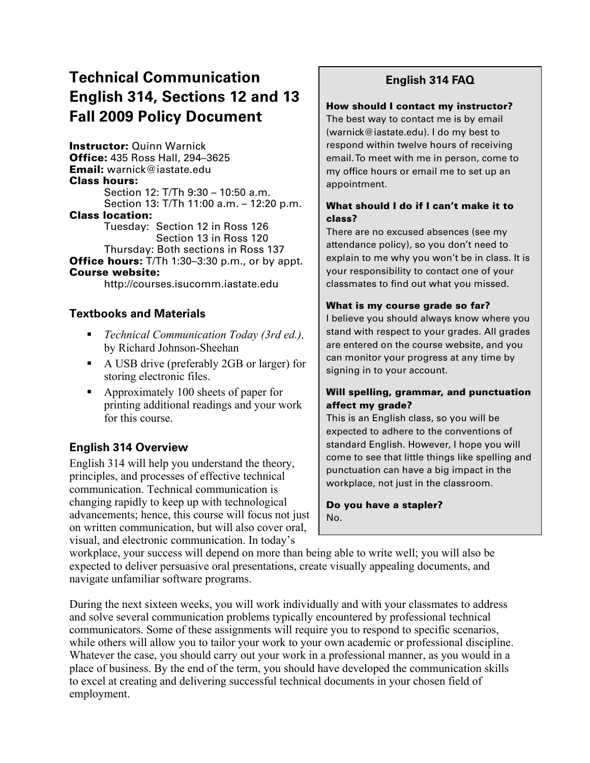# **Technical Communication English 314, Sections 12 and 13 Fall 2009 Policy Document**

Instructor: Quinn Warnick Office: 435 Ross Hall, 294–3625 Email: warnick@iastate.edu Class hours: Section 12: T/Th 9:30 – 10:50 a.m. Section 13: T/Th 11:00 a.m. – 12:20 p.m. Class location: Tuesday: Section 12 in Ross 126 Section 13 in Ross 120 Thursday: Both sections in Ross 137 **Office hours:** T/Th 1:30-3:30 p.m., or by appt. Course website:

http://courses.isucomm.iastate.edu

### **Textbooks and Materials**

- *Technical Communication Today (3rd ed.),* by Richard Johnson-Sheehan
- A USB drive (preferably 2GB or larger) for storing electronic files.
- Approximately 100 sheets of paper for printing additional readings and your work for this course.

### **English 314 Overview**

English 314 will help you understand the theory, principles, and processes of effective technical communication. Technical communication is changing rapidly to keep up with technological advancements; hence, this course will focus not just on written communication, but will also cover oral, visual, and electronic communication. In today's

# **English 314 FAQ**

#### How should I contact my instructor?

The best way to contact me is by email (warnick@iastate.edu). I do my best to respond within twelve hours of receiving email. To meet with me in person, come to my office hours or email me to set up an appointment.

#### What should I do if I can't make it to class?

There are no excused absences (see my attendance policy), so you don't need to explain to me why you won't be in class. It is your responsibility to contact one of your classmates to find out what you missed.

#### What is my course grade so far?

I believe you should always know where you stand with respect to your grades. All grades are entered on the course website, and you can monitor your progress at any time by signing in to your account.

#### Will spelling, grammar, and punctuation affect my grade?

This is an English class, so you will be expected to adhere to the conventions of standard English. However, I hope you will come to see that little things like spelling and punctuation can have a big impact in the workplace, not just in the classroom.

Do you have a stapler? No.

workplace, your success will depend on more than being able to write well; you will also be expected to deliver persuasive oral presentations, create visually appealing documents, and navigate unfamiliar software programs.

During the next sixteen weeks, you will work individually and with your classmates to address and solve several communication problems typically encountered by professional technical communicators. Some of these assignments will require you to respond to specific scenarios, while others will allow you to tailor your work to your own academic or professional discipline. Whatever the case, you should carry out your work in a professional manner, as you would in a place of business. By the end of the term, you should have developed the communication skills to excel at creating and delivering successful technical documents in your chosen field of employment.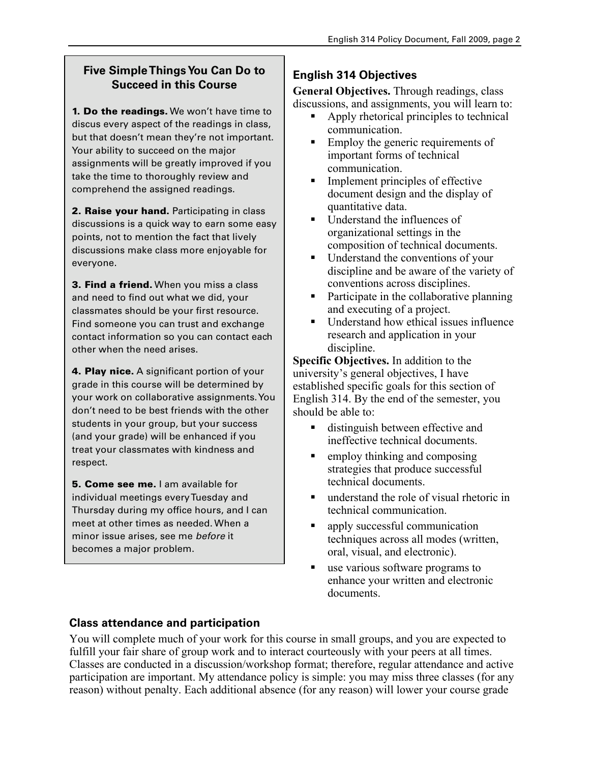# **Five Simple Things You Can Do to Succeed in this Course**

**1. Do the readings.** We won't have time to discus every aspect of the readings in class, but that doesn't mean they're not important. Your ability to succeed on the major assignments will be greatly improved if you take the time to thoroughly review and comprehend the assigned readings.

2. Raise your hand. Participating in class discussions is a quick way to earn some easy points, not to mention the fact that lively discussions make class more enjoyable for everyone.

**3. Find a friend.** When you miss a class and need to find out what we did, your classmates should be your first resource. Find someone you can trust and exchange contact information so you can contact each other when the need arises.

4. Play nice. A significant portion of your grade in this course will be determined by your work on collaborative assignments. You don't need to be best friends with the other students in your group, but your success (and your grade) will be enhanced if you treat your classmates with kindness and respect.

5. Come see me. I am available for individual meetings every Tuesday and Thursday during my office hours, and I can meet at other times as needed. When a minor issue arises, see me *before* it becomes a major problem.

# **English 314 Objectives**

**General Objectives.** Through readings, class discussions, and assignments, you will learn to:

- Apply rhetorical principles to technical communication.
- **Employ the generic requirements of** important forms of technical communication.
- **Implement principles of effective** document design and the display of quantitative data.
- Understand the influences of organizational settings in the composition of technical documents.
- Understand the conventions of your discipline and be aware of the variety of conventions across disciplines.
- Participate in the collaborative planning and executing of a project.
- Understand how ethical issues influence research and application in your discipline.

**Specific Objectives.** In addition to the university's general objectives, I have established specific goals for this section of English 314. By the end of the semester, you should be able to:

- distinguish between effective and ineffective technical documents.
- $\blacksquare$  employ thinking and composing strategies that produce successful technical documents.
- understand the role of visual rhetoric in technical communication.
- no apply successful communication techniques across all modes (written, oral, visual, and electronic).
- use various software programs to enhance your written and electronic documents.

# **Class attendance and participation**

You will complete much of your work for this course in small groups, and you are expected to fulfill your fair share of group work and to interact courteously with your peers at all times. Classes are conducted in a discussion/workshop format; therefore, regular attendance and active participation are important. My attendance policy is simple: you may miss three classes (for any reason) without penalty. Each additional absence (for any reason) will lower your course grade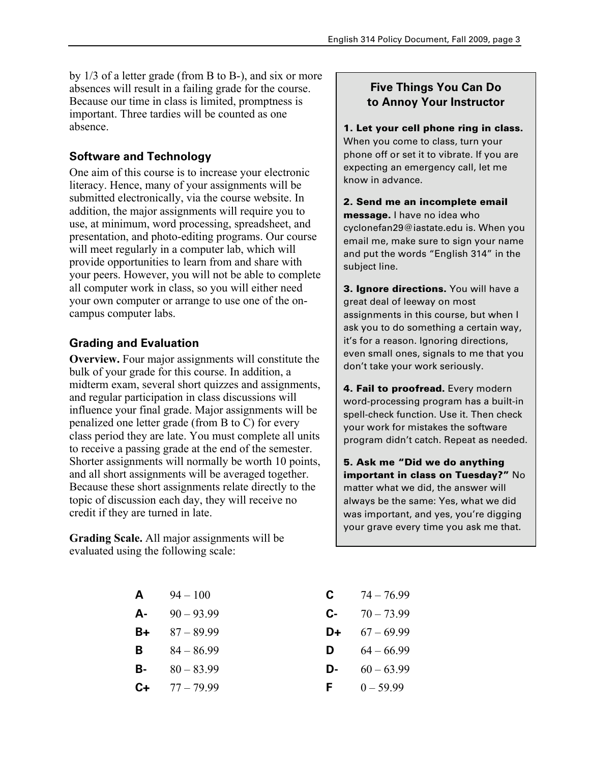by 1/3 of a letter grade (from B to B-), and six or more absences will result in a failing grade for the course. Because our time in class is limited, promptness is important. Three tardies will be counted as one absence.

## **Software and Technology**

One aim of this course is to increase your electronic literacy. Hence, many of your assignments will be submitted electronically, via the course website. In addition, the major assignments will require you to use, at minimum, word processing, spreadsheet, and presentation, and photo-editing programs. Our course will meet regularly in a computer lab, which will provide opportunities to learn from and share with your peers. However, you will not be able to complete all computer work in class, so you will either need your own computer or arrange to use one of the oncampus computer labs.

### **Grading and Evaluation**

**Overview.** Four major assignments will constitute the bulk of your grade for this course. In addition, a midterm exam, several short quizzes and assignments, and regular participation in class discussions will influence your final grade. Major assignments will be penalized one letter grade (from B to C) for every class period they are late. You must complete all units to receive a passing grade at the end of the semester. Shorter assignments will normally be worth 10 points, and all short assignments will be averaged together. Because these short assignments relate directly to the topic of discussion each day, they will receive no credit if they are turned in late.

**Grading Scale.** All major assignments will be evaluated using the following scale:

| Α<br>$94 - 100$ |
|-----------------|
|                 |

- **A-** 90 93.99 **C-** 70 73.99
- **B+** 87 89.99 **D+** 67 69.99
- 
- **B-** 80 83.99 **D-** 60 63.99
- **C+** 77 79.99 **F** 0 59.99

## **Five Things You Can Do to Annoy Your Instructor**

1. Let your cell phone ring in class. When you come to class, turn your phone off or set it to vibrate. If you are expecting an emergency call, let me know in advance.

2. Send me an incomplete email message. I have no idea who cyclonefan29@iastate.edu is. When you email me, make sure to sign your name and put the words "English 314" in the subject line.

**3. Ignore directions.** You will have a great deal of leeway on most assignments in this course, but when I ask you to do something a certain way, it's for a reason. Ignoring directions, even small ones, signals to me that you don't take your work seriously.

4. Fail to proofread. Every modern word-processing program has a built-in spell-check function. Use it. Then check your work for mistakes the software program didn't catch. Repeat as needed.

5. Ask me "Did we do anything important in class on Tuesday?" No matter what we did, the answer will always be the same: Yes, what we did was important, and yes, you're digging your grave every time you ask me that.

- $\textbf{C}$   $74 76.99$
- 
- 
- **B** 84 86.99 **D** 64 66.99
	-
	-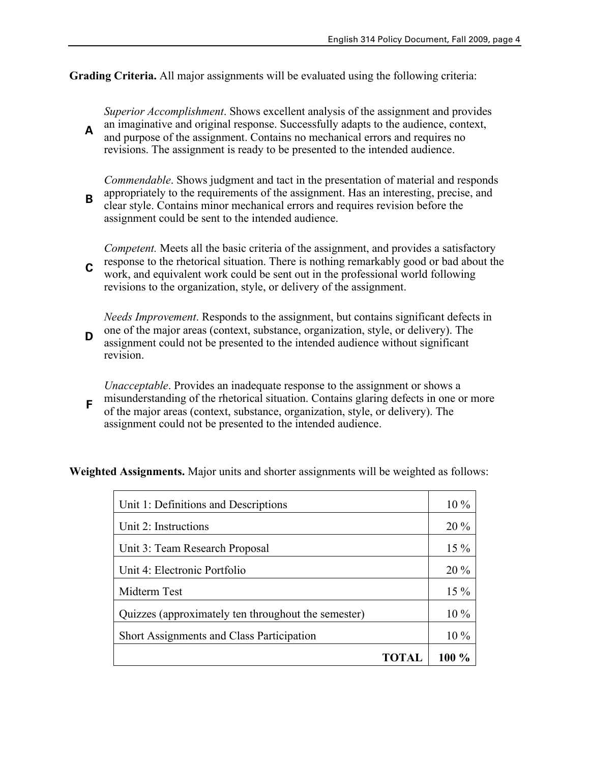**Grading Criteria.** All major assignments will be evaluated using the following criteria:

**A** *Superior Accomplishment*. Shows excellent analysis of the assignment and provides an imaginative and original response. Successfully adapts to the audience, context, and purpose of the assignment. Contains no mechanical errors and requires no revisions. The assignment is ready to be presented to the intended audience.

**B** *Commendable*. Shows judgment and tact in the presentation of material and responds appropriately to the requirements of the assignment. Has an interesting, precise, and clear style. Contains minor mechanical errors and requires revision before the assignment could be sent to the intended audience.

**C** *Competent.* Meets all the basic criteria of the assignment, and provides a satisfactory response to the rhetorical situation. There is nothing remarkably good or bad about the work, and equivalent work could be sent out in the professional world following revisions to the organization, style, or delivery of the assignment.

**D** *Needs Improvement*. Responds to the assignment, but contains significant defects in one of the major areas (context, substance, organization, style, or delivery). The assignment could not be presented to the intended audience without significant revision.

**F** *Unacceptable*. Provides an inadequate response to the assignment or shows a misunderstanding of the rhetorical situation. Contains glaring defects in one or more of the major areas (context, substance, organization, style, or delivery). The assignment could not be presented to the intended audience.

**Weighted Assignments.** Major units and shorter assignments will be weighted as follows:

| Unit 1: Definitions and Descriptions                | $10\%$   |
|-----------------------------------------------------|----------|
| Unit 2: Instructions                                | $20\%$   |
| Unit 3: Team Research Proposal                      | $15\%$   |
| Unit 4: Electronic Portfolio                        | $20\%$   |
| Midterm Test                                        | $15\%$   |
| Quizzes (approximately ten throughout the semester) | $10\%$   |
| Short Assignments and Class Participation           | $10\%$   |
| TOTAL                                               | 100 $\%$ |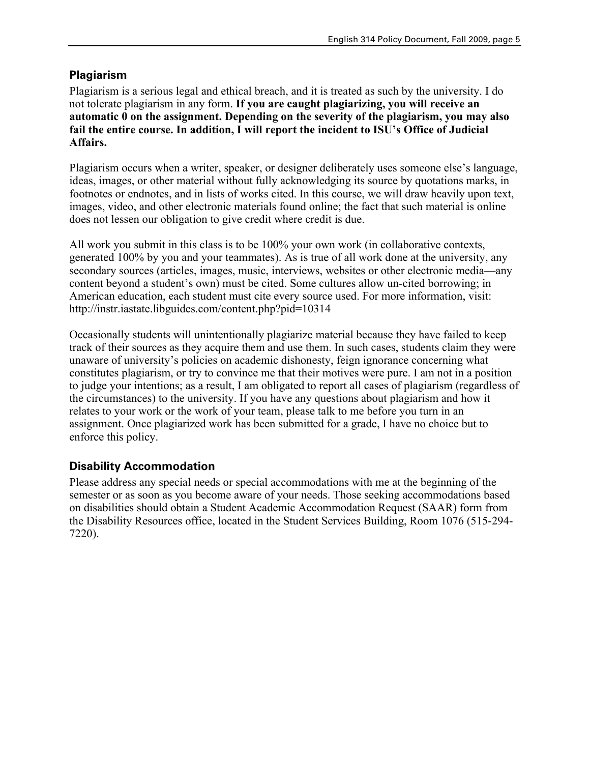### **Plagiarism**

Plagiarism is a serious legal and ethical breach, and it is treated as such by the university. I do not tolerate plagiarism in any form. **If you are caught plagiarizing, you will receive an automatic 0 on the assignment. Depending on the severity of the plagiarism, you may also fail the entire course. In addition, I will report the incident to ISU's Office of Judicial Affairs.**

Plagiarism occurs when a writer, speaker, or designer deliberately uses someone else's language, ideas, images, or other material without fully acknowledging its source by quotations marks, in footnotes or endnotes, and in lists of works cited. In this course, we will draw heavily upon text, images, video, and other electronic materials found online; the fact that such material is online does not lessen our obligation to give credit where credit is due.

All work you submit in this class is to be 100% your own work (in collaborative contexts, generated 100% by you and your teammates). As is true of all work done at the university, any secondary sources (articles, images, music, interviews, websites or other electronic media—any content beyond a student's own) must be cited. Some cultures allow un-cited borrowing; in American education, each student must cite every source used. For more information, visit: http://instr.iastate.libguides.com/content.php?pid=10314

Occasionally students will unintentionally plagiarize material because they have failed to keep track of their sources as they acquire them and use them. In such cases, students claim they were unaware of university's policies on academic dishonesty, feign ignorance concerning what constitutes plagiarism, or try to convince me that their motives were pure. I am not in a position to judge your intentions; as a result, I am obligated to report all cases of plagiarism (regardless of the circumstances) to the university. If you have any questions about plagiarism and how it relates to your work or the work of your team, please talk to me before you turn in an assignment. Once plagiarized work has been submitted for a grade, I have no choice but to enforce this policy.

### **Disability Accommodation**

Please address any special needs or special accommodations with me at the beginning of the semester or as soon as you become aware of your needs. Those seeking accommodations based on disabilities should obtain a Student Academic Accommodation Request (SAAR) form from the Disability Resources office, located in the Student Services Building, Room 1076 (515-294- 7220).